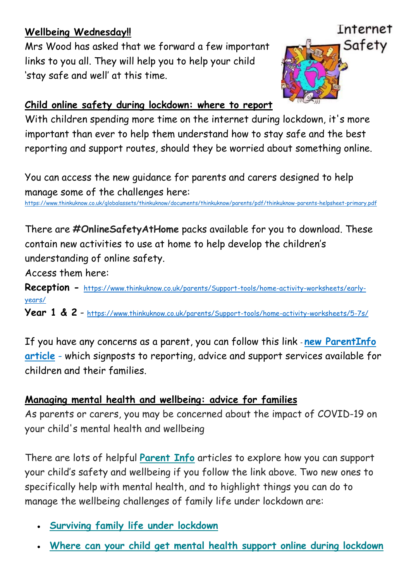## **Wellbeing Wednesday!!**

Mrs Wood has asked that we forward a few important links to you all. They will help you to help your child 'stay safe and well' at this time.



## **Child online safety during lockdown: where to report**

With children spending more time on the internet during lockdown, it's more important than ever to help them understand how to stay safe and the best reporting and support routes, should they be worried about something online.

You can access the new guidance for parents and carers designed to help manage some of the challenges here:

<https://www.thinkuknow.co.uk/globalassets/thinkuknow/documents/thinkuknow/parents/pdf/thinkuknow-parents-helpsheet-primary.pdf>

There are **#OnlineSafetyAtHome** packs available for you to download. These contain new activities to use at home to help develop the children's understanding of online safety.

Access them here:

**Reception -** [https://www.thinkuknow.co.uk/parents/Support-tools/home-activity-worksheets/early](https://www.thinkuknow.co.uk/parents/Support-tools/home-activity-worksheets/early-years/)[years/](https://www.thinkuknow.co.uk/parents/Support-tools/home-activity-worksheets/early-years/)

**Year 1 & 2** - <https://www.thinkuknow.co.uk/parents/Support-tools/home-activity-worksheets/5-7s/>

If you have any concerns as a parent, you can follow this link - **new [ParentInfo](https://thinkuknow.us13.list-manage.com/track/click?u=2ae276529dabe14cecc1d261e&id=becdba9ded&e=ee7384ebc5) [article](https://thinkuknow.us13.list-manage.com/track/click?u=2ae276529dabe14cecc1d261e&id=becdba9ded&e=ee7384ebc5)** - which signposts to reporting, advice and support services available for children and their families.

## **Managing mental health and wellbeing: advice for families**

As parents or carers, you may be concerned about the impact of COVID-19 on your child's mental health and wellbeing

There are lots of helpful **[Parent](https://thinkuknow.us13.list-manage.com/track/click?u=2ae276529dabe14cecc1d261e&id=a07ec5f7e3&e=ee7384ebc5) Info** articles to explore how you can support your child's safety and wellbeing if you follow the link above. Two new ones to specifically help with mental health, and to highlight things you can do to manage the wellbeing challenges of family life under lockdown are:

- **[Surviving](https://thinkuknow.us13.list-manage.com/track/click?u=2ae276529dabe14cecc1d261e&id=aaccccf4c3&e=ee7384ebc5) family life under lockdown**
- **Where can your child get mental health support online during [lockdown](https://thinkuknow.us13.list-manage.com/track/click?u=2ae276529dabe14cecc1d261e&id=a50600ad24&e=ee7384ebc5)**